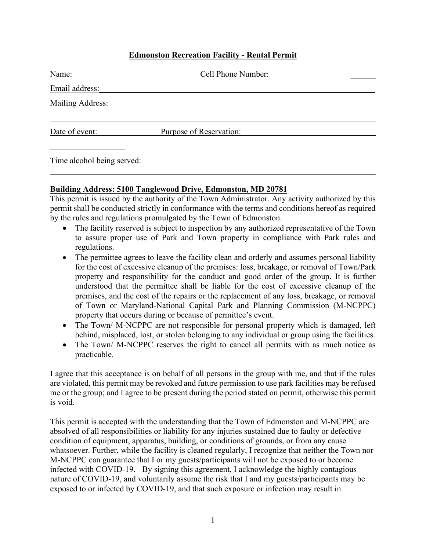# **Edmonston Recreation Facility - Rental Permit**

| Name:            | Cell Phone Number:      |
|------------------|-------------------------|
| Email address:   |                         |
| Mailing Address: |                         |
| Date of event:   | Purpose of Reservation: |

Time alcohol being served:

#### **Building Address: 5100 Tanglewood Drive, Edmonston, MD 20781**

This permit is issued by the authority of the Town Administrator. Any activity authorized by this permit shall be conducted strictly in conformance with the terms and conditions hereof as required by the rules and regulations promulgated by the Town of Edmonston.

- The facility reserved is subject to inspection by any authorized representative of the Town to assure proper use of Park and Town property in compliance with Park rules and regulations.
- The permittee agrees to leave the facility clean and orderly and assumes personal liability for the cost of excessive cleanup of the premises: loss, breakage, or removal of Town/Park property and responsibility for the conduct and good order of the group. It is further understood that the permittee shall be liable for the cost of excessive cleanup of the premises, and the cost of the repairs or the replacement of any loss, breakage, or removal of Town or Maryland-National Capital Park and Planning Commission (M-NCPPC) property that occurs during or because of permittee's event.
- The Town/ M-NCPPC are not responsible for personal property which is damaged, left behind, misplaced, lost, or stolen belonging to any individual or group using the facilities.
- The Town/ M-NCPPC reserves the right to cancel all permits with as much notice as practicable.

I agree that this acceptance is on behalf of all persons in the group with me, and that if the rules are violated, this permit may be revoked and future permission to use park facilities may be refused me or the group; and I agree to be present during the period stated on permit, otherwise this permit is void.

This permit is accepted with the understanding that the Town of Edmonston and M-NCPPC are absolved of all responsibilities or liability for any injuries sustained due to faulty or defective condition of equipment, apparatus, building, or conditions of grounds, or from any cause whatsoever. Further, while the facility is cleaned regularly, I recognize that neither the Town nor M-NCPPC can guarantee that I or my guests/participants will not be exposed to or become infected with COVID-19. By signing this agreement, I acknowledge the highly contagious nature of COVID-19, and voluntarily assume the risk that I and my guests/participants may be exposed to or infected by COVID-19, and that such exposure or infection may result in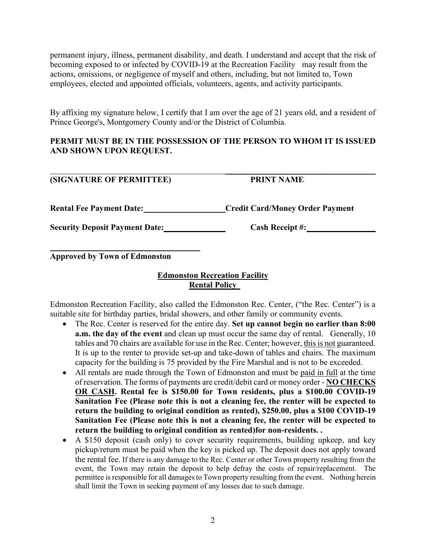permanent injury, illness, permanent disability, and death. I understand and accept that the risk of becoming exposed to or infected by COVID-19 at the Recreation Facility may result from the actions, omissions, or negligence of myself and others, including, but not limited to, Town employees, elected and appointed officials, volunteers, agents, and activity participants.

By affixing my signature below, I certify that I am over the age of 21 years old, and a resident of Prince George's, Montgomery County and/or the District of Columbia.

# **PERMIT MUST BE IN THE POSSESSION OF THE PERSON TO WHOM IT IS ISSUED AND SHOWN UPON REQUEST.**

#### $\overline{\phantom{a}}$  , and the contract of the contract of the contract of the contract of the contract of the contract of the contract of the contract of the contract of the contract of the contract of the contract of the contrac **(SIGNATURE OF PERMITTEE) PRINT NAME**

Rental Fee Payment Date: Credit Card/Money Order Payment

**Security Deposit Payment Date:** Cash Receipt #:

 **Approved by Town of Edmonston**

# **Edmonston Recreation Facility Rental Policy**

Edmonston Recreation Facility, also called the Edmonston Rec. Center, ("the Rec. Center") is a suitable site for birthday parties, bridal showers, and other family or community events.

- The Rec. Center is reserved for the entire day. **Set up cannot begin no earlier than 8:00 a.m. the day of the event** and clean up must occur the same day of rental. Generally, 10 tables and 70 chairs are available for use in the Rec. Center; however, this is not guaranteed. It is up to the renter to provide set-up and take-down of tables and chairs. The maximum capacity for the building is 75 provided by the Fire Marshal and is not to be exceeded.
- All rentals are made through the Town of Edmonston and must be paid in full at the time of reservation. The forms of payments are credit/debit card or money order - **NO CHECKS OR CASH. Rental fee is \$150.00 for Town residents, plus a \$100.00 COVID-19 Sanitation Fee (Please note this is not a cleaning fee, the renter will be expected to return the building to original condition as rented), \$250.00, plus a \$100 COVID-19 Sanitation Fee (Please note this is not a cleaning fee, the renter will be expected to return the building to original condition as rented)for non-residents. .**
- A \$150 deposit (cash only) to cover security requirements, building upkeep, and key pickup/return must be paid when the key is picked up. The deposit does not apply toward the rental fee. If there is any damage to the Rec. Center or other Town property resulting from the event, the Town may retain the deposit to help defray the costs of repair/replacement. The permittee is responsible for all damages to Town property resulting from the event. Nothing herein shall limit the Town in seeking payment of any losses due to such damage.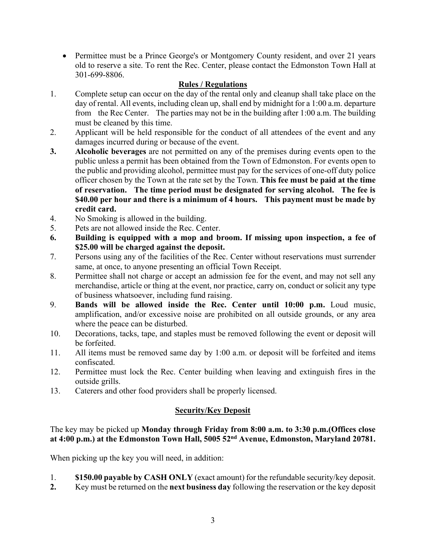• Permittee must be a Prince George's or Montgomery County resident, and over 21 years old to reserve a site. To rent the Rec. Center, please contact the Edmonston Town Hall at 301-699-8806.

# **Rules / Regulations**

- 1. Complete setup can occur on the day of the rental only and cleanup shall take place on the day of rental. All events, including clean up, shall end by midnight for a 1:00 a.m. departure from the Rec Center. The parties may not be in the building after 1:00 a.m. The building must be cleaned by this time.
- 2. Applicant will be held responsible for the conduct of all attendees of the event and any damages incurred during or because of the event.
- **3. Alcoholic beverages** are not permitted on any of the premises during events open to the public unless a permit has been obtained from the Town of Edmonston. For events open to the public and providing alcohol, permittee must pay for the services of one-off duty police officer chosen by the Town at the rate set by the Town. **This fee must be paid at the time of reservation. The time period must be designated for serving alcohol. The fee is \$40.00 per hour and there is a minimum of 4 hours. This payment must be made by credit card.**
- 4. No Smoking is allowed in the building.
- 5. Pets are not allowed inside the Rec. Center.
- **6. Building is equipped with a mop and broom. If missing upon inspection, a fee of \$25.00 will be charged against the deposit.**
- 7. Persons using any of the facilities of the Rec. Center without reservations must surrender same, at once, to anyone presenting an official Town Receipt.
- 8. Permittee shall not charge or accept an admission fee for the event, and may not sell any merchandise, article or thing at the event, nor practice, carry on, conduct or solicit any type of business whatsoever, including fund raising.
- 9. **Bands will be allowed inside the Rec. Center until 10:00 p.m.** Loud music, amplification, and/or excessive noise are prohibited on all outside grounds, or any area where the peace can be disturbed.
- 10. Decorations, tacks, tape, and staples must be removed following the event or deposit will be forfeited.
- 11. All items must be removed same day by 1:00 a.m. or deposit will be forfeited and items confiscated.
- 12. Permittee must lock the Rec. Center building when leaving and extinguish fires in the outside grills.
- 13. Caterers and other food providers shall be properly licensed.

# **Security/Key Deposit**

The key may be picked up **Monday through Friday from 8:00 a.m. to 3:30 p.m.(Offices close at 4:00 p.m.) at the Edmonston Town Hall, 5005 52nd Avenue, Edmonston, Maryland 20781.**

When picking up the key you will need, in addition:

- 1. **\$150.00 payable by CASH ONLY** (exact amount) for the refundable security/key deposit.
- **2.** Key must be returned on the **next business day** following the reservation or the key deposit